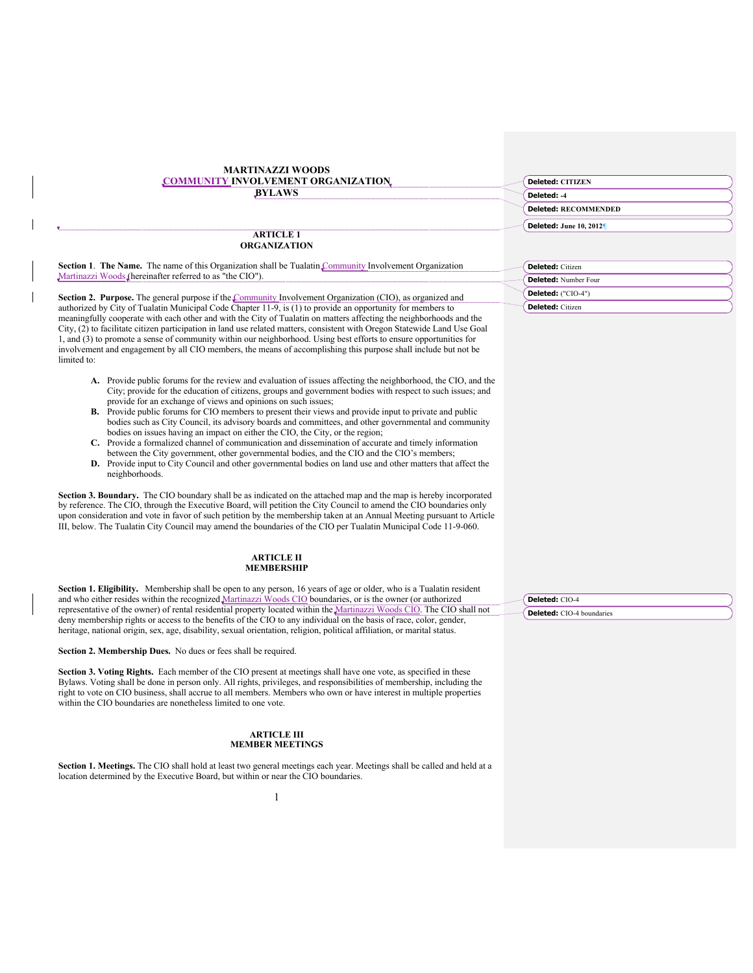| <b>MARTINAZZI WOODS</b><br>OMMUNITY INVOLVEMENT ORGANIZATION<br><b>BYLAWS</b>                                                                                                                                                                                                                                                                                                                                                                                                                                                                                                                                           |  |
|-------------------------------------------------------------------------------------------------------------------------------------------------------------------------------------------------------------------------------------------------------------------------------------------------------------------------------------------------------------------------------------------------------------------------------------------------------------------------------------------------------------------------------------------------------------------------------------------------------------------------|--|
|                                                                                                                                                                                                                                                                                                                                                                                                                                                                                                                                                                                                                         |  |
| <b>ARTICLE 1</b>                                                                                                                                                                                                                                                                                                                                                                                                                                                                                                                                                                                                        |  |
| <b>ORGANIZATION</b>                                                                                                                                                                                                                                                                                                                                                                                                                                                                                                                                                                                                     |  |
| Section 1. The Name. The name of this Organization shall be Tualatin Community Involvement Organization<br>Martinazzi Woods (hereinafter referred to as "the CIO").                                                                                                                                                                                                                                                                                                                                                                                                                                                     |  |
|                                                                                                                                                                                                                                                                                                                                                                                                                                                                                                                                                                                                                         |  |
| <b>Section 2. Purpose.</b> The general purpose if the Community Involvement Organization (CIO), as organized and                                                                                                                                                                                                                                                                                                                                                                                                                                                                                                        |  |
| authorized by City of Tualatin Municipal Code Chapter 11-9, is (1) to provide an opportunity for members to<br>meaningfully cooperate with each other and with the City of Tualatin on matters affecting the neighborhoods and the<br>City, (2) to facilitate citizen participation in land use related matters, consistent with Oregon Statewide Land Use Goal<br>1, and (3) to promote a sense of community within our neighborhood. Using best efforts to ensure opportunities for<br>involvement and engagement by all CIO members, the means of accomplishing this purpose shall include but not be<br>limited to: |  |
|                                                                                                                                                                                                                                                                                                                                                                                                                                                                                                                                                                                                                         |  |

- **A.** Provide public forums for the review and evaluation of issues affecting the neighborhood, the CIO, and the City; provide for the education of citizens, groups and government bodies with respect to such issues; and provide for an exchange of views and opinions on such issues;
- **B.** Provide public forums for CIO members to present their views and provide input to private and public bodies such as City Council, its advisory boards and committees, and other governmental and community bodies on issues having an impact on either the CIO, the City, or the region;
- **C.** Provide a formalized channel of communication and dissemination of accurate and timely information between the City government, other governmental bodies, and the CIO and the CIO's members; **D.** Provide input to City Council and other governmental bodies on land use and other matters that affect the
- neighborhoods.

**Section 3. Boundary.** The CIO boundary shall be as indicated on the attached map and the map is hereby incorporated by reference. The CIO, through the Executive Board, will petition the City Council to amend the CIO boundaries only upon consideration and vote in favor of such petition by the membership taken at an Annual Meeting pursuant to Article III, below. The Tualatin City Council may amend the boundaries of the CIO per Tualatin Municipal Code 11-9-060.

### **ARTICLE II MEMBERSHIP**

**Section 1. Eligibility.** Membership shall be open to any person, 16 years of age or older, who is a Tualatin resident and who either resides within the recognized Martinazzi Woods CIO boundaries, or is the owner (or authorized representative of the owner) of rental residential property located within the Martinazzi Woods CIO. The CIO shall not deny membership rights or access to the benefits of the CIO to any individual on the basis of race, color, gender, heritage, national origin, sex, age, disability, sexual orientation, religion, political affiliation, or marital status.

**Section 2. Membership Dues.** No dues or fees shall be required.

**Section 3. Voting Rights.** Each member of the CIO present at meetings shall have one vote, as specified in these Bylaws. Voting shall be done in person only. All rights, privileges, and responsibilities of membership, including the right to vote on CIO business, shall accrue to all members. Members who own or have interest in multiple properties within the CIO boundaries are nonetheless limited to one vote.

# **ARTICLE III MEMBER MEETINGS**

**Section 1. Meetings.** The CIO shall hold at least two general meetings each year. Meetings shall be called and held at a location determined by the Executive Board, but within or near the CIO boundaries.

| <b>Deleted: CITIZEN</b>     |  |
|-----------------------------|--|
| Deleted: -4                 |  |
| <b>Deleted: RECOMMENDED</b> |  |
| Deleted: June 10, 2012      |  |

| <b>Deleted:</b> Citizen |
|-------------------------|
| Deleted: Number Four    |
| Deleted: ("CIO-4")      |
| <b>Deleted:</b> Citizen |

**Deleted:** CIO-4 **Deleted:** CIO-4 boundaries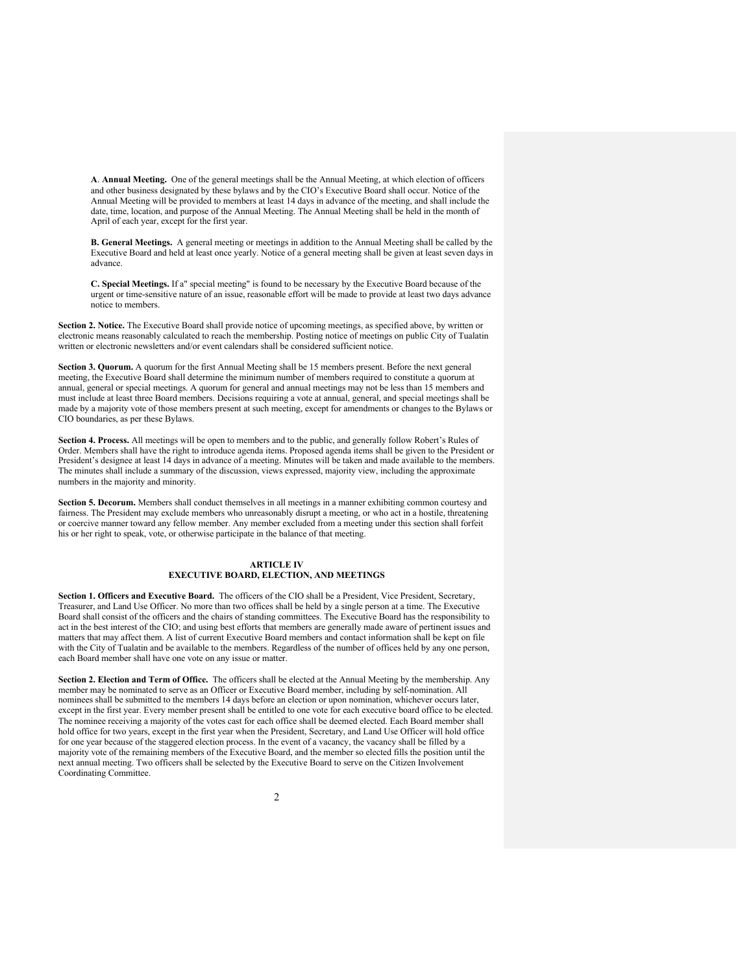**A**. **Annual Meeting.** One of the general meetings shall be the Annual Meeting, at which election of officers and other business designated by these bylaws and by the CIO's Executive Board shall occur. Notice of the Annual Meeting will be provided to members at least 14 days in advance of the meeting, and shall include the date, time, location, and purpose of the Annual Meeting. The Annual Meeting shall be held in the month of April of each year, except for the first year.

**B. General Meetings.** A general meeting or meetings in addition to the Annual Meeting shall be called by the Executive Board and held at least once yearly. Notice of a general meeting shall be given at least seven days in advance.

**C. Special Meetings.** If a" special meeting" is found to be necessary by the Executive Board because of the urgent or time-sensitive nature of an issue, reasonable effort will be made to provide at least two days advance notice to members.

**Section 2. Notice.** The Executive Board shall provide notice of upcoming meetings, as specified above, by written or electronic means reasonably calculated to reach the membership. Posting notice of meetings on public City of Tualatin written or electronic newsletters and/or event calendars shall be considered sufficient notice.

**Section 3. Quorum.** A quorum for the first Annual Meeting shall be 15 members present. Before the next general meeting, the Executive Board shall determine the minimum number of members required to constitute a quorum at annual, general or special meetings. A quorum for general and annual meetings may not be less than 15 members and must include at least three Board members. Decisions requiring a vote at annual, general, and special meetings shall be made by a majority vote of those members present at such meeting, except for amendments or changes to the Bylaws or CIO boundaries, as per these Bylaws.

**Section 4. Process.** All meetings will be open to members and to the public, and generally follow Robert's Rules of Order. Members shall have the right to introduce agenda items. Proposed agenda items shall be given to the President or President's designee at least 14 days in advance of a meeting. Minutes will be taken and made available to the members. The minutes shall include a summary of the discussion, views expressed, majority view, including the approximate numbers in the majority and minority.

**Section 5. Decorum.** Members shall conduct themselves in all meetings in a manner exhibiting common courtesy and fairness. The President may exclude members who unreasonably disrupt a meeting, or who act in a hostile, threatening or coercive manner toward any fellow member. Any member excluded from a meeting under this section shall forfeit his or her right to speak, vote, or otherwise participate in the balance of that meeting.

# **ARTICLE IV EXECUTIVE BOARD, ELECTION, AND MEETINGS**

**Section 1. Officers and Executive Board.** The officers of the CIO shall be a President, Vice President, Secretary, Treasurer, and Land Use Officer. No more than two offices shall be held by a single person at a time. The Executive Board shall consist of the officers and the chairs of standing committees. The Executive Board has the responsibility to act in the best interest of the CIO; and using best efforts that members are generally made aware of pertinent issues and matters that may affect them. A list of current Executive Board members and contact information shall be kept on file with the City of Tualatin and be available to the members. Regardless of the number of offices held by any one person, each Board member shall have one vote on any issue or matter.

**Section 2. Election and Term of Office.** The officers shall be elected at the Annual Meeting by the membership. Any member may be nominated to serve as an Officer or Executive Board member, including by self-nomination. All nominees shall be submitted to the members 14 days before an election or upon nomination, whichever occurs later, except in the first year. Every member present shall be entitled to one vote for each executive board office to be elected. The nominee receiving a majority of the votes cast for each office shall be deemed elected. Each Board member shall hold office for two years, except in the first year when the President, Secretary, and Land Use Officer will hold office for one year because of the staggered election process. In the event of a vacancy, the vacancy shall be filled by a majority vote of the remaining members of the Executive Board, and the member so elected fills the position until the next annual meeting. Two officers shall be selected by the Executive Board to serve on the Citizen Involvement Coordinating Committee.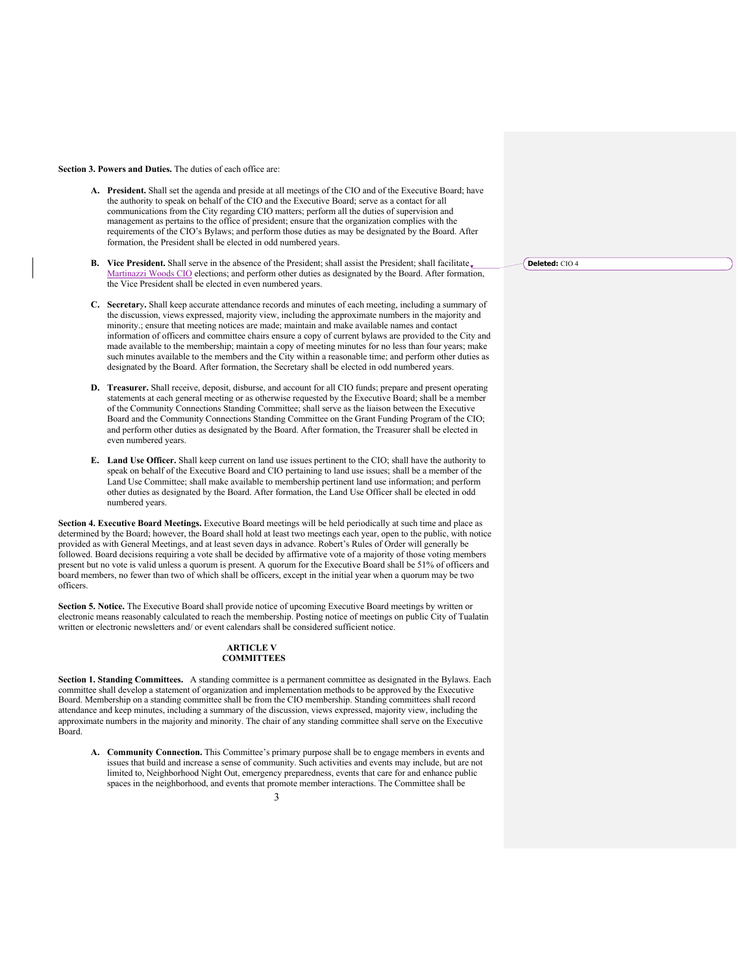## **Section 3. Powers and Duties.** The duties of each office are:

- **A. President.** Shall set the agenda and preside at all meetings of the CIO and of the Executive Board; have the authority to speak on behalf of the CIO and the Executive Board; serve as a contact for all communications from the City regarding CIO matters; perform all the duties of supervision and management as pertains to the office of president; ensure that the organization complies with the requirements of the CIO's Bylaws; and perform those duties as may be designated by the Board. After formation, the President shall be elected in odd numbered years.
- **B. Vice President.** Shall serve in the absence of the President; shall assist the President; shall facilitate. Martinazzi Woods CIO elections; and perform other duties as designated by the Board. After formation, the Vice President shall be elected in even numbered years.
- **C. Secretar**y**.** Shall keep accurate attendance records and minutes of each meeting, including a summary of the discussion, views expressed, majority view, including the approximate numbers in the majority and minority.; ensure that meeting notices are made; maintain and make available names and contact information of officers and committee chairs ensure a copy of current bylaws are provided to the City and made available to the membership; maintain a copy of meeting minutes for no less than four years; make such minutes available to the members and the City within a reasonable time; and perform other duties as designated by the Board. After formation, the Secretary shall be elected in odd numbered years.
- **D. Treasurer.** Shall receive, deposit, disburse, and account for all CIO funds; prepare and present operating statements at each general meeting or as otherwise requested by the Executive Board; shall be a member of the Community Connections Standing Committee; shall serve as the liaison between the Executive Board and the Community Connections Standing Committee on the Grant Funding Program of the CIO; and perform other duties as designated by the Board. After formation, the Treasurer shall be elected in even numbered years.
- **E. Land Use Officer.** Shall keep current on land use issues pertinent to the CIO; shall have the authority to speak on behalf of the Executive Board and CIO pertaining to land use issues; shall be a member of the Land Use Committee; shall make available to membership pertinent land use information; and perform other duties as designated by the Board. After formation, the Land Use Officer shall be elected in odd numbered years.

**Section 4. Executive Board Meetings.** Executive Board meetings will be held periodically at such time and place as determined by the Board; however, the Board shall hold at least two meetings each year, open to the public, with notice provided as with General Meetings, and at least seven days in advance. Robert's Rules of Order will generally be followed. Board decisions requiring a vote shall be decided by affirmative vote of a majority of those voting members present but no vote is valid unless a quorum is present. A quorum for the Executive Board shall be 51% of officers and board members, no fewer than two of which shall be officers, except in the initial year when a quorum may be two officers.

**Section 5. Notice.** The Executive Board shall provide notice of upcoming Executive Board meetings by written or electronic means reasonably calculated to reach the membership. Posting notice of meetings on public City of Tualatin written or electronic newsletters and/ or event calendars shall be considered sufficient notice.

## **ARTICLE V COMMITTEES**

**Section 1. Standing Committees.** A standing committee is a permanent committee as designated in the Bylaws. Each committee shall develop a statement of organization and implementation methods to be approved by the Executive Board. Membership on a standing committee shall be from the CIO membership. Standing committees shall record attendance and keep minutes, including a summary of the discussion, views expressed, majority view, including the approximate numbers in the majority and minority. The chair of any standing committee shall serve on the Executive Board.

**A. Community Connection.** This Committee's primary purpose shall be to engage members in events and issues that build and increase a sense of community. Such activities and events may include, but are not limited to, Neighborhood Night Out, emergency preparedness, events that care for and enhance public spaces in the neighborhood, and events that promote member interactions. The Committee shall be

**Deleted:** CIO 4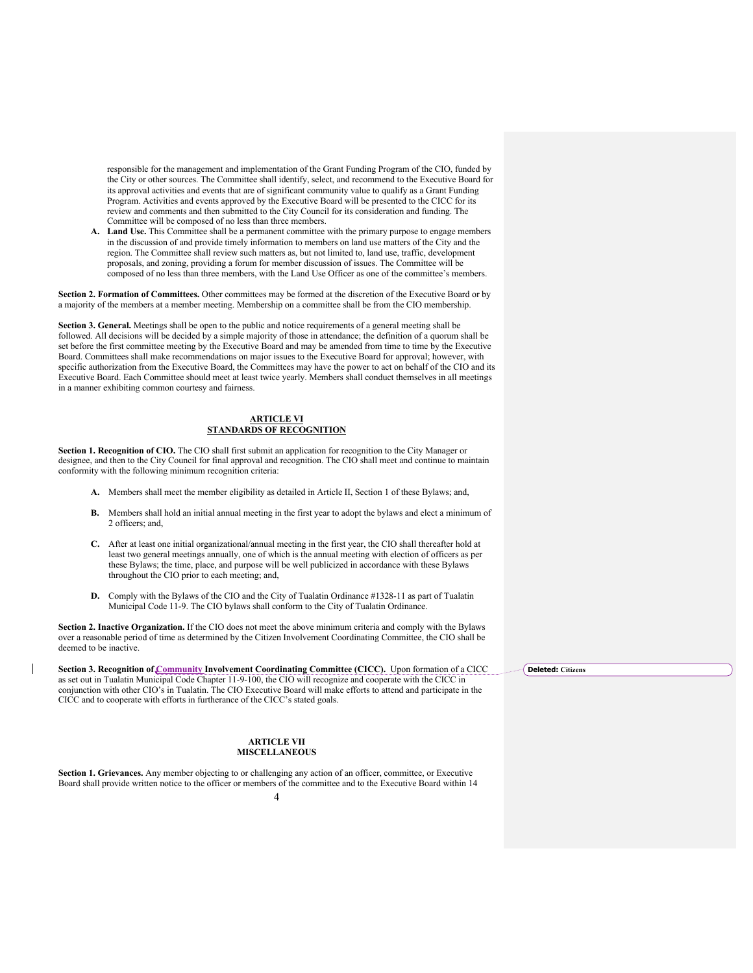responsible for the management and implementation of the Grant Funding Program of the CIO, funded by the City or other sources. The Committee shall identify, select, and recommend to the Executive Board for its approval activities and events that are of significant community value to qualify as a Grant Funding Program. Activities and events approved by the Executive Board will be presented to the CICC for its review and comments and then submitted to the City Council for its consideration and funding. The Committee will be composed of no less than three members.

**A. Land Use.** This Committee shall be a permanent committee with the primary purpose to engage members in the discussion of and provide timely information to members on land use matters of the City and the region. The Committee shall review such matters as, but not limited to, land use, traffic, development proposals, and zoning, providing a forum for member discussion of issues. The Committee will be composed of no less than three members, with the Land Use Officer as one of the committee's members.

**Section 2. Formation of Committees.** Other committees may be formed at the discretion of the Executive Board or by a majority of the members at a member meeting. Membership on a committee shall be from the CIO membership.

**Section 3. General.** Meetings shall be open to the public and notice requirements of a general meeting shall be followed. All decisions will be decided by a simple majority of those in attendance; the definition of a quorum shall be set before the first committee meeting by the Executive Board and may be amended from time to time by the Executive Board. Committees shall make recommendations on major issues to the Executive Board for approval; however, with specific authorization from the Executive Board, the Committees may have the power to act on behalf of the CIO and its Executive Board. Each Committee should meet at least twice yearly. Members shall conduct themselves in all meetings in a manner exhibiting common courtesy and fairness.

# **ARTICLE VI STANDARDS OF RECOGNITION**

**Section 1. Recognition of CIO.** The CIO shall first submit an application for recognition to the City Manager or designee, and then to the City Council for final approval and recognition. The CIO shall meet and continue to maintain conformity with the following minimum recognition criteria:

- **A.** Members shall meet the member eligibility as detailed in Article II, Section 1 of these Bylaws; and,
- **B.** Members shall hold an initial annual meeting in the first year to adopt the bylaws and elect a minimum of 2 officers; and,
- **C.** After at least one initial organizational/annual meeting in the first year, the CIO shall thereafter hold at least two general meetings annually, one of which is the annual meeting with election of officers as per these Bylaws; the time, place, and purpose will be well publicized in accordance with these Bylaws throughout the CIO prior to each meeting; and,
- **D.** Comply with the Bylaws of the CIO and the City of Tualatin Ordinance #1328-11 as part of Tualatin Municipal Code 11-9. The CIO bylaws shall conform to the City of Tualatin Ordinance.

**Section 2. Inactive Organization.** If the CIO does not meet the above minimum criteria and comply with the Bylaws over a reasonable period of time as determined by the Citizen Involvement Coordinating Committee, the CIO shall be deemed to be inactive.

**Section 3. Recognition of Community Involvement Coordinating Committee (CICC).** Upon formation of a CICC as set out in Tualatin Municipal Code Chapter 11-9-100, the CIO will recognize and cooperate with the CICC in conjunction with other CIO's in Tualatin. The CIO Executive Board will make efforts to attend and participate in the CICC and to cooperate with efforts in furtherance of the CICC's stated goals.

## **ARTICLE VII MISCELLANEOUS**

**Section 1. Grievances.** Any member objecting to or challenging any action of an officer, committee, or Executive Board shall provide written notice to the officer or members of the committee and to the Executive Board within 14

**Deleted: Citizens**